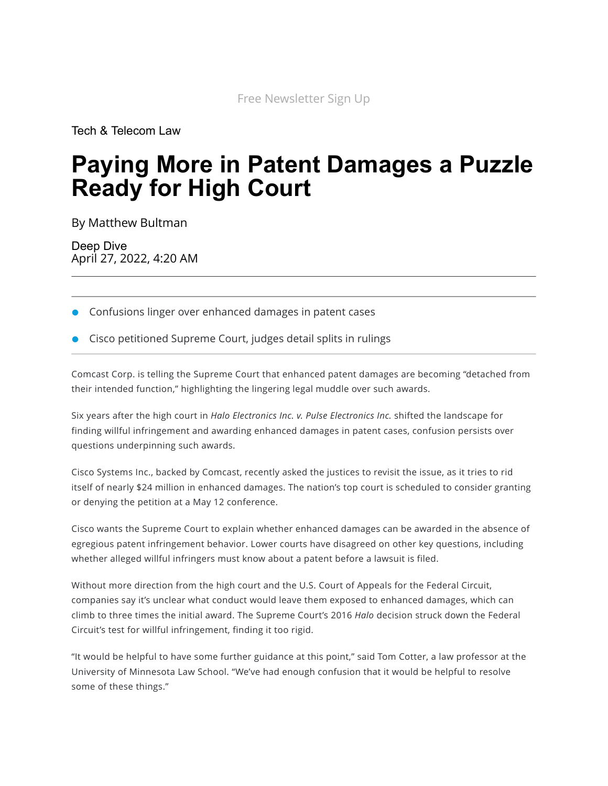[Tech & Telecom Law](https://news.bloomberglaw.com/tech-and-telecom-law/)

# **Paying More in Patent Damages a Puzzle Ready for High Court**

By [Matthew Bultman](mailto:mbultman@correspondent.bloomberglaw.com)

Deep Dive April 27, 2022, 4:20 AM

- Confusions linger over enhanced damages in patent cases
- Cisco petitioned Supreme Court, judges detail splits in rulings

Comcast Corp. is telling the Supreme Court that enhanced patent damages are becoming "detached from their intended function," highlighting the lingering legal muddle over such awards.

Six years after the high court in *Halo Electronics Inc. v. Pulse [Electronics](https://www.bloomberglaw.com/public/document/Halo_Elecs_Inc_v_Pulse_Elecs_Inc_No_2016_BL_187307_84_USLW_4386_U?doc_id=X8MAG5G0000N) Inc.* shifted the landscape for finding willful infringement and awarding enhanced damages in patent cases, confusion persists over questions underpinning such awards.

Cisco Systems Inc., backed by Comcast, recently asked the justices to revisit the issue, as it tries to rid itself of nearly \$24 million in enhanced damages. The nation's top court is scheduled to consider granting or denying the petition at a May 12 conference.

Cisco wants the Supreme Court to explain whether enhanced damages can be awarded in the absence of egregious patent infringement behavior. Lower courts have disagreed on other key questions, including whether alleged willful infringers must know about a patent before a lawsuit is filed.

Without more direction from the high court and the U.S. Court of Appeals for the Federal Circuit, companies say it's unclear what conduct would leave them exposed to enhanced damages, which can climb to three times the initial award. The Supreme Court's 2016 *Halo* decision struck down the Federal Circuit's test for willful infringement, finding it too rigid.

"It would be helpful to have some further guidance at this point," said Tom [Cotter](https://law.umn.edu/profiles/tom-cotter), a law professor at the University of Minnesota Law School. "We've had enough confusion that it would be helpful to resolve some of these things."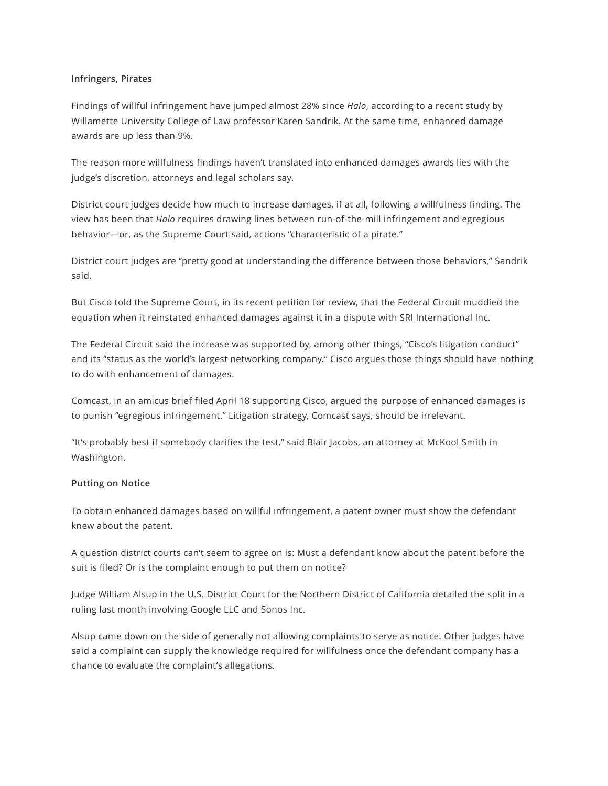#### **Infringers, Pirates**

Findings of willful infringement have jumped almost 28% since *Halo*, according to a recent study by Willamette University College of Law professor Karen [Sandrik](https://willamette.edu/law/faculty/profiles/sandrik/index.html). At the same time, enhanced damage awards are up less than 9%.

The reason more willfulness findings haven't translated into enhanced damages awards lies with the judge's discretion, attorneys and legal scholars say.

District court judges decide how much to increase damages, if at all, following a willfulness finding. The view has been that *Halo* requires drawing lines between run-of-the-mill infringement and egregious behavior—or, as the Supreme Court said, actions "characteristic of a pirate."

District court judges are "pretty good at understanding the difference between those behaviors," Sandrik said.

But Cisco told the Supreme Court, in its recent [petition](https://aboutblaw.com/2Ez) for review, that the Federal Circuit muddied the equation when it reinstated enhanced damages against it in a dispute with SRI International Inc.

The Federal Circuit said the increase was supported by, among other things, "Cisco's litigation conduct" and its "status as the world's largest networking company." Cisco argues those things should have nothing to do with enhancement of damages.

Comcast, in an [amicus](https://aboutblaw.com/2EB) brief filed April 18 supporting Cisco, argued the purpose of enhanced damages is to punish "egregious infringement." Litigation strategy, Comcast says, should be irrelevant.

"It's probably best if somebody clarifies the test," said Blair [Jacobs,](https://www.mckoolsmith.com/professionals-Blair_Jacobs) an attorney at McKool Smith in Washington.

#### **Putting on Notice**

To obtain enhanced damages based on willful infringement, a patent owner must show the defendant knew about the patent.

A question district courts can't seem to agree on is: Must a defendant know about the patent before the suit is filed? Or is the complaint enough to put them on notice?

Judge William Alsup in the U.S. District Court for the Northern District of California detailed the split in a [ruling](https://news.bloomberglaw.com/ip-law/google-gets-sonos-claims-for-enhanced-patent-damages-dismissed) last month involving Google LLC and Sonos Inc.

Alsup came down on the side of generally not allowing complaints to serve as notice. Other judges have said a complaint can supply the knowledge required for willfulness once the defendant company has a chance to evaluate the complaint's allegations.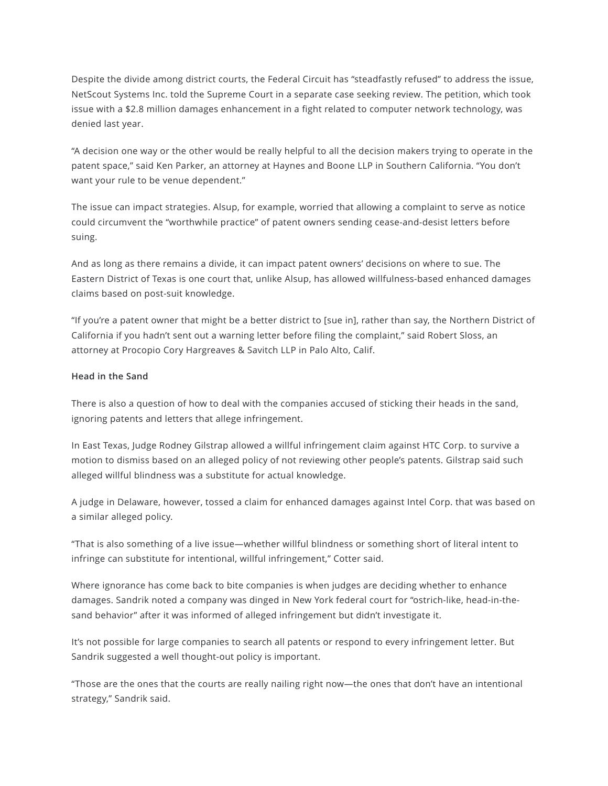Despite the divide among district courts, the Federal Circuit has "steadfastly refused" to address the issue, NetScout Systems Inc. told the Supreme Court in a separate case seeking [review.](https://news.bloomberglaw.com/ip-law/justices-urged-to-settle-divide-over-enhanced-patent-damages-test) The petition, which took issue with a \$2.8 million damages enhancement in a fight related to computer network technology, was denied last year.

"A decision one way or the other would be really helpful to all the decision makers trying to operate in the patent space," said Ken [Parker,](https://www.haynesboone.com/people/parker-kenneth) an attorney at Haynes and Boone LLP in Southern California. "You don't want your rule to be venue dependent."

The issue can impact strategies. Alsup, for example, worried that allowing a complaint to serve as notice could circumvent the "worthwhile practice" of patent owners sending cease-and-desist letters before suing.

And as long as there remains a divide, it can impact patent owners' decisions on where to sue. The Eastern District of Texas is one court that, unlike Alsup, has allowed willfulness-based enhanced damages claims based on post-suit knowledge.

"If you're a patent owner that might be a better district to [sue in], rather than say, the Northern District of California if you hadn't sent out a warning letter before filing the complaint," said [Robert](https://www.procopio.com/people/robert-h-sloss/) Sloss, an attorney at Procopio Cory Hargreaves & Savitch LLP in Palo Alto, Calif.

#### **Head in the Sand**

There is also a question of how to deal with the companies accused of sticking their heads in the sand, ignoring patents and letters that allege infringement.

In East Texas, Judge Rodney Gilstrap allowed a willful infringement claim against HTC Corp. to survive a motion to dismiss based on an alleged policy of not reviewing other people's patents. Gilstrap said such alleged willful blindness was a substitute for actual knowledge.

A judge in Delaware, however, tossed a claim for enhanced damages against Intel Corp. that was based on a similar alleged policy.

"That is also something of a live issue—whether willful blindness or something short of literal intent to infringe can substitute for intentional, willful infringement," Cotter said.

Where ignorance has come back to bite companies is when judges are deciding whether to enhance damages. Sandrik noted a company was dinged in New York federal court for "ostrich-like, head-in-thesand behavior" after it was informed of alleged infringement but didn't investigate it.

It's not possible for large companies to search all patents or respond to every infringement letter. But Sandrik suggested a well thought-out policy is important.

"Those are the ones that the courts are really nailing right now—the ones that don't have an intentional strategy," Sandrik said.